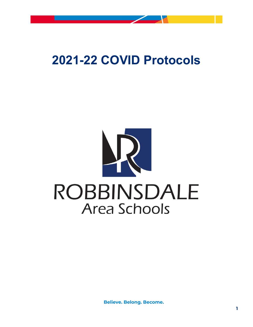

# **2021-22 COVID Protocols**

# ROBBINSDALE **Area Schools**

**Believe. Belong. Become.**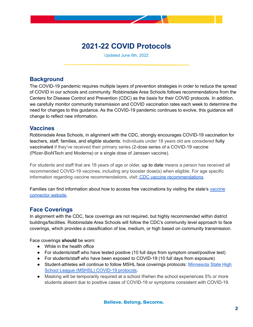

# **2021-22 COVID Protocols**

Updated June 6th, 2022

# **Background**

The COVID-19 pandemic requires multiple layers of prevention strategies in order to reduce the spread of COVID in our schools and community. Robbinsdale Area Schools follows recommendations from the Centers for Disease Control and Prevention (CDC) as the basis for their COVID protocols. In addition, we carefully monitor community transmission and COVID vaccination rates each week to determine the need for changes to this guidance. As the COVID-19 pandemic continues to evolve, this guidance will change to reflect new information.

# **Vaccines**

Robbinsdale Area Schools, in alignment with the CDC, strongly encourages COVID-19 vaccination for teachers, staff, families, and eligible students. Individuals under 18 years old are considered **fully vaccinated** if they've received their primary series (2-dose series of a COVID-19 vaccine (Pfizer-BioNTech and Moderna) or a single dose of Janssen vaccine).

For students and staff that are 18 years of age or older, **up to date** means a person has received all recommended COVID-19 vaccines, including any booster dose(s) when eligible. For age specific information regarding vaccine [recommendations](https://www.cdc.gov/coronavirus/2019-ncov/vaccines/stay-up-to-date.html), visit: CDC vaccine recommendations.

Families can find information about how to access free vaccinations by visiting the state's [vaccine](https://mn.gov/covid19/vaccine/connector/connector.jsp) [connector](https://mn.gov/covid19/vaccine/connector/connector.jsp) website.

# **Face Coverings**

In alignment with the CDC, face coverings are not required, but highly recommended within district buildings/facilities. Robbinsdale Area Schools will follow the CDC's community level approach to face coverings, which provides a classification of low, medium, or high based on community transmission.

Face coverings **should** be worn:

- While in the health office
- For students/staff who have tested positive (10 full days from symptom onset/positive test)
- For students/staff who have been exposed to COVID-19 (10 full days from exposure)
- Student-athletes will continue to follow MSHL face coverings protocols: [Minnesota](https://www.mshsl.org/sites/default/files/2021-08/2021_2022-covid-guidance.pdf) State High School League (MSHSL) [COVID-19](https://www.mshsl.org/sites/default/files/2021-08/2021_2022-covid-guidance.pdf) protocols.
- Masking will be temporarily required at a school if/when the school experiences 5% or more students absent due to positive cases of COVID-19 or symptoms consistent with COVID-19.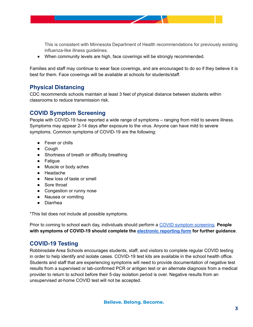

This is consistent with Minnesota Department of Health recommendations for previously existing influenza-like illness guidelines.

● When community levels are high, face coverings will be strongly recommended.

Families and staff may continue to wear face coverings, and are encouraged to do so if they believe it is best for them. Face coverings will be available at schools for students/staff.

# **Physical Distancing**

CDC recommends schools maintain at least 3 feet of physical distance between students within classrooms to reduce transmission risk.

# **COVID Symptom Screening**

People with COVID-19 have reported a wide range of symptoms – ranging from mild to severe illness. Symptoms may appear 2-14 days after exposure to the virus. Anyone can have mild to severe symptoms. Common symptoms of COVID-19 are the following:

- Fever or chills
- Cough
- Shortness of breath or difficulty breathing
- Fatigue
- Muscle or body aches
- Headache
- New loss of taste or smell
- Sore throat
- Congestion or runny nose
- Nausea or vomiting
- Diarrhea

\*This list does not include all possible symptoms.

Prior to coming to school each day, individuals should perform a COVID symptom [screening](https://www.rdale.org/covid/self-screening). **People with symptoms of COVID-19 should complete the [electronic](https://www.rdale.org/covid/reporting-form) reporting form for further guidance**.

# **COVID-19 Testing**

Robbinsdale Area Schools encourages students, staff, and visitors to complete regular COVID testing in order to help identify and isolate cases. COVID-19 test kits are available in the school health office. Students and staff that are experiencing symptoms will need to provide documentation of negative test results from a supervised or lab-confirmed PCR or antigen test or an alternate diagnosis from a medical provider to return to school before their 5-day isolation period is over. Negative results from an unsupervised at-home COVID test will not be accepted.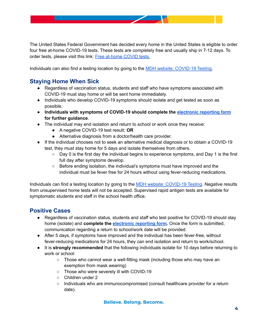

The United States Federal Government has decided every home in the United States is eligible to order four free at-home COVID-19 tests. These tests are completely free and usually ship in 7-12 days. To order tests, please visit this link: Free [at-home](https://www.covidtests.gov/) COVID tests.

Individuals can also find a testing location by going to the MDH website: [COVID-19](https://www.health.state.mn.us/diseases/coronavirus/testsites/index.html) Testing.

# **Staying Home When Sick**

- Regardless of vaccination status, students and staff who have symptoms associated with COVID-19 must stay home or will be sent home immediately.
- Individuals who develop COVID-19 symptoms should isolate and get tested as soon as possible.
- **Individuals with symptoms of COVID-19 should complete the [electronic](https://www.rdale.org/covid/reporting-form) reporting form for further guidance**.
- The individual may end isolation and return to school or work once they receive:
	- A negative COVID-19 test result; **OR**
	- Alternative diagnosis from a doctor/health care provider.
- If the individual chooses not to seek an alternative medical diagnosis or to obtain a COVID-19 test, they must stay home for 5 days and isolate themselves from others.
	- Day 0 is the first day the individual begins to experience symptoms, and Day 1 is the first full day after symptoms develop.
	- Before ending isolation, the individual's symptoms must have improved and the individual must be fever free for 24 hours without using fever-reducing medications.

Individuals can find a testing location by going to the MDH website: [COVID-19](https://www.health.state.mn.us/diseases/coronavirus/testsites/index.html) Testing. Negative results from unsupervised home tests will not be accepted. Supervised rapid antigen tests are available for symptomatic students and staff in the school health office.

# **Positive Cases**

- Regardless of vaccination status, students and staff who test positive for COVID-19 should stay home (isolate) and **complete the [electronic](https://www.rdale.org/covid/reporting-form) reporting form.** Once the form is submitted, communication regarding a return to school/work date will be provided.
- After 5 days, if symptoms have improved and the individual has been fever-free, without fever-reducing medications for 24 hours, they can end isolation and return to work/school.
- It is **strongly recommended** that the following individuals isolate for 10 days before returning to work or school:
	- $\circ$  Those who cannot wear a well-fitting mask (including those who may have an exemption from mask wearing)
	- Those who were severely ill with COVID-19
	- Children under 2
	- Individuals who are immunocompromised (consult healthcare provider for a return date).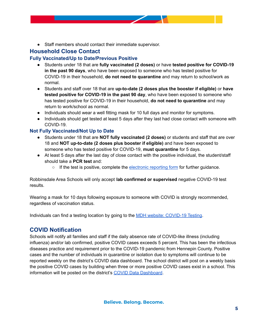● Staff members should contact their immediate supervisor.

# **Household Close Contact**

#### **Fully Vaccinated/Up to Date/Previous Positive**

- Students under 18 that are **fully vaccinated (2 doses)** or have **tested positive for COVID-19 in the past 90 days**, who have been exposed to someone who has tested positive for COVID-19 in their household, **do not need to quarantine** and may return to school/work as normal.
- Students and staff over 18 that are **up-to-date (2 doses plus the booster if eligible)** or **have tested positive for COVID-19 in the past 90 day**, who have been exposed to someone who has tested positive for COVID-19 in their household, **do not need to quarantine** and may return to work/school as normal.
- Individuals should wear a well fitting mask for 10 full days and monitor for symptoms.
- Individuals should get tested at least 5 days after they last had close contact with someone with COVID-19.

#### **Not Fully Vaccinated/Not Up to Date**

- Students under 18 that are **NOT fully vaccinated (2 doses)** or students and staff that are over 18 and **NOT up-to-date (2 doses plus booster if eligible)** and have been exposed to someone who has tested positive for COVID-19, **must quarantine** for 5 days.
- At least 5 days after the last day of close contact with the positive individual, the student/staff should take a **PCR test** and:
	- $\circ$  If the test is positive, complete the [electronic](https://www.rdale.org/covid/reporting-form) reporting form for further guidance.

Robbinsdale Area Schools will only accept **lab confirmed or supervised** negative COVID-19 test results.

Wearing a mask for 10 days following exposure to someone with COVID is strongly recommended, regardless of vaccination status.

Individuals can find a testing location by going to the MDH website: [COVID-19](https://www.health.state.mn.us/diseases/coronavirus/testsites/index.html) Testing.

### **COVID Notification**

Schools will notify all families and staff if the daily absence rate of COVID-like illness (including influenza) and/or lab confirmed, positive COVID cases exceeds 5 percent. This has been the infectious diseases practice and requirement prior to the COVID-19 pandemic from Hennepin County. Positive cases and the number of individuals in quarantine or isolation due to symptoms will continue to be reported weekly on the district's COVID data dashboard. The school district will post on a weekly basis the positive COVID cases by building when three or more positive COVID cases exist in a school. This information will be posted on the district's COVID Data [Dashboard](https://www.rdale.org/covid/covid-19-dashboard).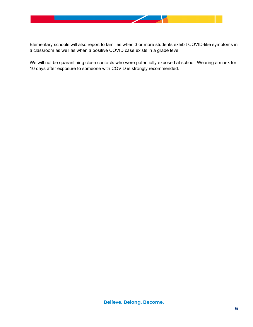

Elementary schools will also report to families when 3 or more students exhibit COVID-like symptoms in a classroom as well as when a positive COVID case exists in a grade level.

We will not be quarantining close contacts who were potentially exposed at school. Wearing a mask for 10 days after exposure to someone with COVID is strongly recommended.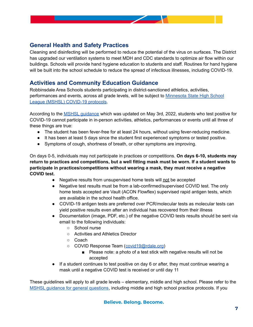

# **General Health and Safety Practices**

Cleaning and disinfecting will be performed to reduce the potential of the virus on surfaces. The District has upgraded our ventilation systems to meet MDH and CDC standards to optimize air flow within our buildings. Schools will provide hand hygiene education to students and staff. Routines for hand hygiene will be built into the school schedule to reduce the spread of infectious illnesses, including COVID-19.

# **Activities and Community Education Guidance**

Robbinsdale Area Schools students participating in district-sanctioned athletics, activities, performances and events, across all grade levels, will be subject to [Minnesota](https://www.mshsl.org/sites/default/files/2021-08/2021_2022-covid-guidance.pdf) State High School League (MSHSL) [COVID-19](https://www.mshsl.org/sites/default/files/2021-08/2021_2022-covid-guidance.pdf) protocols.

According to the MSHSL [guidance](https://www.mshsl.org/sites/default/files/2021-08/2021_2022-covid-guidance.pdf) which was updated on May 3rd, 2022, students who test positive for COVID-19 cannot participate in in-person activities, athletics, performances or events until all three of these things are true:

- The student has been fever-free for at least 24 hours, without using fever-reducing medicine.
- It has been at least 5 days since the student first experienced symptoms or tested positive.
- Symptoms of cough, shortness of breath, or other symptoms are improving.

On days 0-5, individuals may not participate in practices or competitions. **On days 6-10, students may return to practices and competitions, but a well fitting mask must be worn. If a student wants to participate in practices/competitions without wearing a mask, they must receive a negative COVID test.**

- Negative results from unsupervised home tests will not be accepted
- Negative test results must be from a lab-confirmed/supervised COVID test. The only home tests accepted are Vault (ACON Flowflex) supervised rapid antigen tests, which are available in the school health office.
- COVID-19 antigen tests are preferred over PCR/molecular tests as molecular tests can yield positive results even after an individual has recovered from their illness
- Documentation (image, PDF, etc.) of the negative COVID tests results should be sent via email to the following individuals:
	- School nurse
	- Activities and Athletics Director
	- Coach
	- COVID Response Team ([covid19@rdale.org](mailto:covid19@rdale.org))
		- Please note: a photo of a test stick with negative results will not be accepted
- If a student continues to test positive on day 6 or after, they must continue wearing a mask until a negative COVID test is received or until day 11

These guidelines will apply to all grade levels – elementary, middle and high school. Please refer to the MSHSL guidance for general [questions](https://www.mshsl.org/sites/default/files/2021-08/2021_2022-covid-guidance.pdf), including middle and high school practice protocols. If you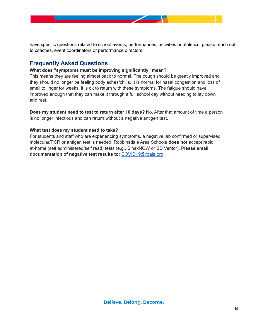

have specific questions related to school events, performances, activities or athletics, please reach out to coaches, event coordinators or performance directors.

# **Frequently Asked Questions**

#### **What does "symptoms must be improving significantly" mean?**

This means they are feeling almost back to normal. The cough should be greatly improved and they should no longer be feeling body aches/chills. It is normal for nasal congestion and loss of smell to linger for weeks, it is ok to return with these symptoms. The fatigue should have improved enough that they can make it through a full school day without needing to lay down and rest.

**Does my student need to test to return after 10 days?** No. After that amount of time a person is no longer infectious and can return without a negative antigen test.

#### **What test does my student need to take?**

For students and staff who are experiencing symptoms, a negative lab confirmed or supervised molecular/PCR or antigen test is needed. Robbinsdale Area Schools **does not** accept rapid, at-home (self administered/self read) tests (e.g., BinaxNOW or BD Veritor). **Please email documentation of negative test results to:** [COVID19@rdale.org](mailto:COVID19@rdale.org)